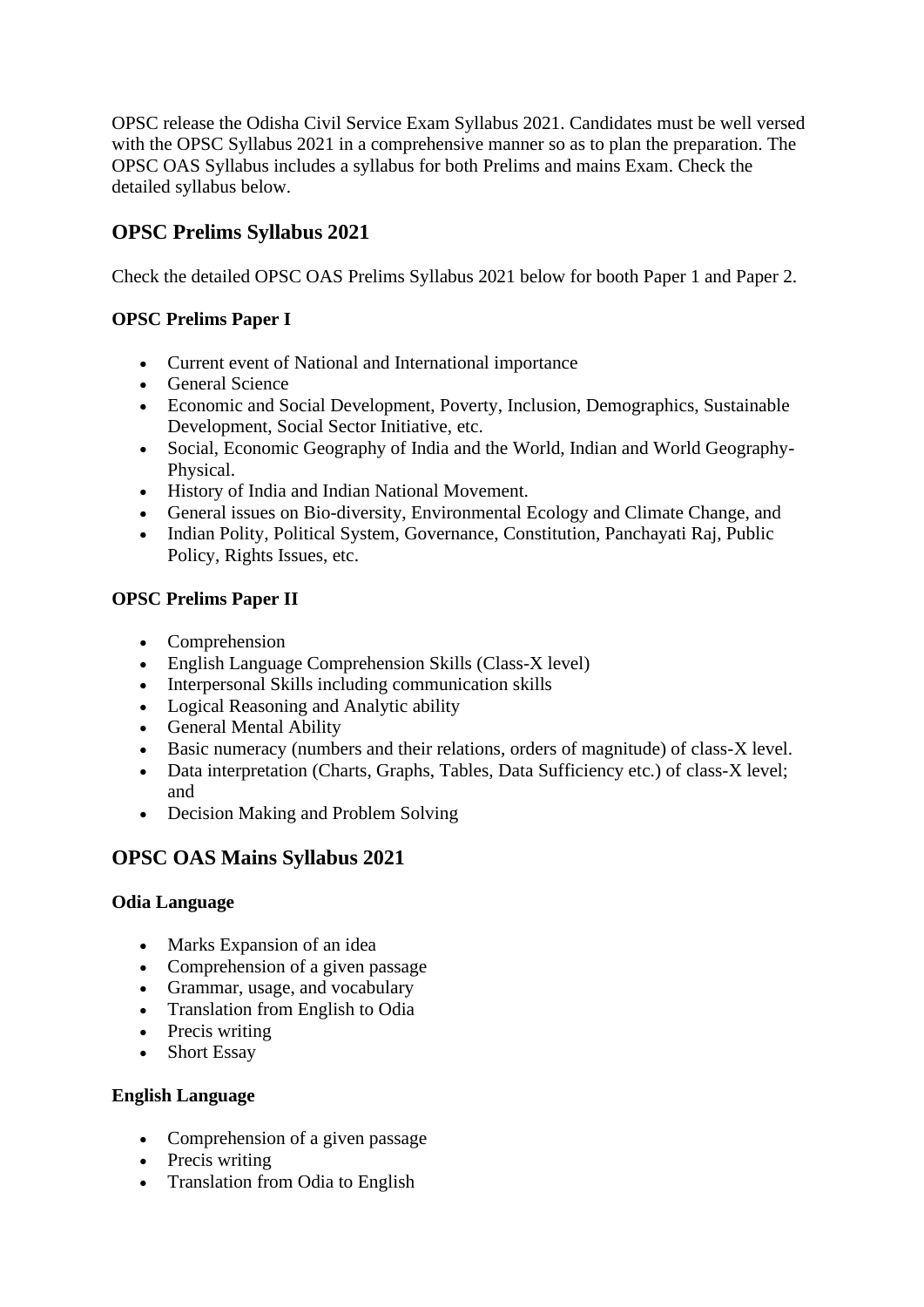OPSC release the Odisha Civil Service Exam Syllabus 2021. Candidates must be well versed with the OPSC Syllabus 2021 in a comprehensive manner so as to plan the preparation. The OPSC OAS Syllabus includes a syllabus for both Prelims and mains Exam. Check the detailed syllabus below.

# **OPSC Prelims Syllabus 2021**

Check the detailed OPSC OAS Prelims Syllabus 2021 below for booth Paper 1 and Paper 2.

## **OPSC Prelims Paper I**

- Current event of National and International importance
- General Science
- Economic and Social Development, Poverty, Inclusion, Demographics, Sustainable Development, Social Sector Initiative, etc.
- Social, Economic Geography of India and the World, Indian and World Geography-Physical.
- History of India and Indian National Movement.
- General issues on Bio-diversity, Environmental Ecology and Climate Change, and
- Indian Polity, Political System, Governance, Constitution, Panchayati Raj, Public Policy, Rights Issues, etc.

## **OPSC Prelims Paper II**

- Comprehension
- English Language Comprehension Skills (Class-X level)
- Interpersonal Skills including communication skills
- Logical Reasoning and Analytic ability
- General Mental Ability
- Basic numeracy (numbers and their relations, orders of magnitude) of class-X level.
- Data interpretation (Charts, Graphs, Tables, Data Sufficiency etc.) of class-X level; and
- Decision Making and Problem Solving

# **OPSC OAS Mains Syllabus 2021**

#### **Odia Language**

- Marks Expansion of an idea
- Comprehension of a given passage
- Grammar, usage, and vocabulary
- Translation from English to Odia
- Precis writing
- Short Essay

#### **English Language**

- Comprehension of a given passage
- Precis writing
- Translation from Odia to English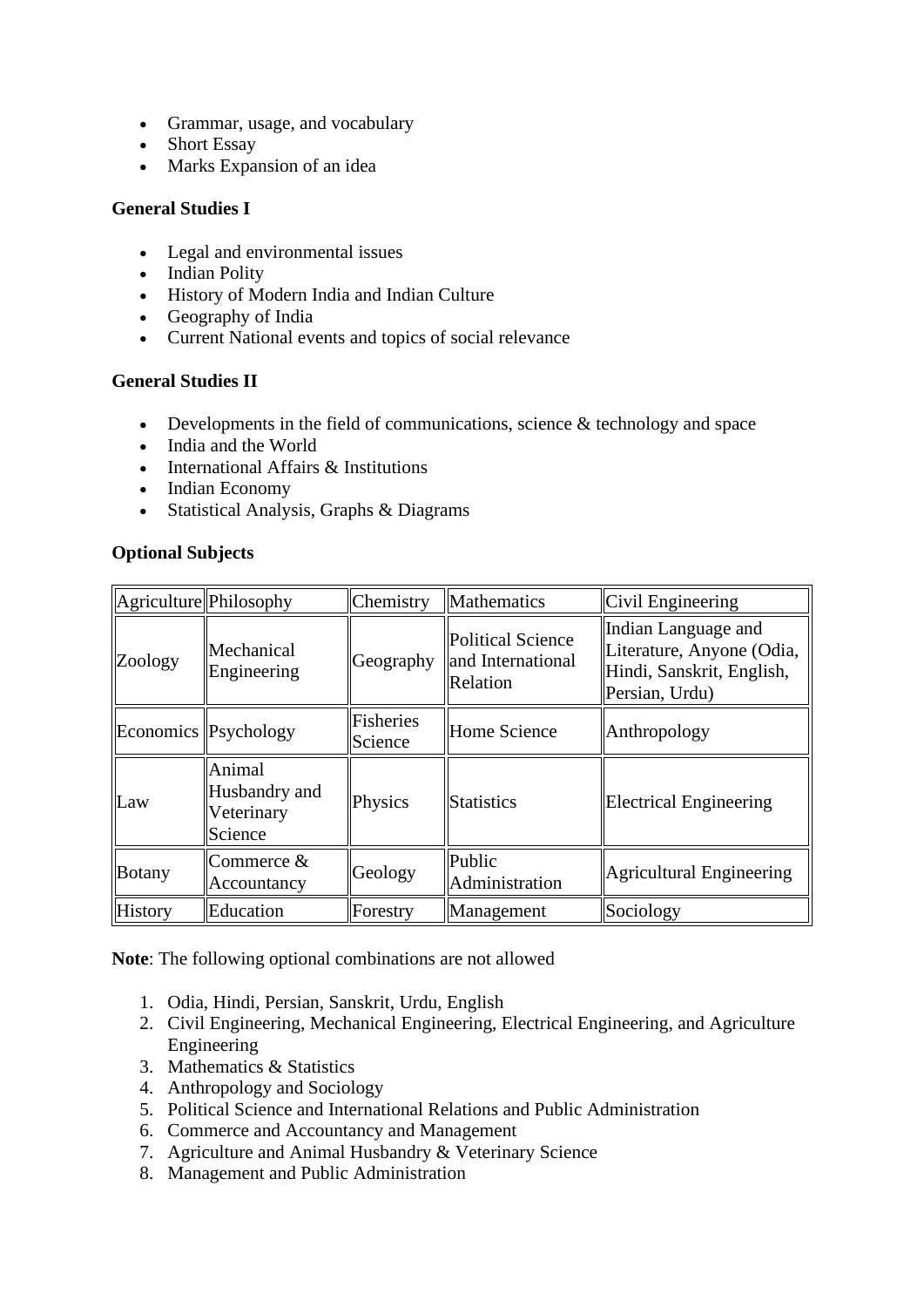- Grammar, usage, and vocabulary
- Short Essay
- Marks Expansion of an idea

#### **General Studies I**

- Legal and environmental issues
- Indian Polity
- History of Modern India and Indian Culture
- Geography of India
- Current National events and topics of social relevance

#### **General Studies II**

- Developments in the field of communications, science  $&$  technology and space
- India and the World
- International Affairs & Institutions
- Indian Economy
- Statistical Analysis, Graphs & Diagrams

#### **Optional Subjects**

| Agriculture Philosophy |                                                  | Chemistry                   | Mathematics                                               | Civil Engineering                                                                               |
|------------------------|--------------------------------------------------|-----------------------------|-----------------------------------------------------------|-------------------------------------------------------------------------------------------------|
| Zoology                | Mechanical<br>Engineering                        | Geography                   | <b>Political Science</b><br>and International<br>Relation | Indian Language and<br>Literature, Anyone (Odia,<br>Hindi, Sanskrit, English,<br>Persian, Urdu) |
| Economics Psychology   |                                                  | <b>Fisheries</b><br>Science | Home Science                                              | Anthropology                                                                                    |
| Law                    | Animal<br>Husbandry and<br>Veterinary<br>Science | Physics                     | <b>Statistics</b>                                         | <b>Electrical Engineering</b>                                                                   |
| Botany                 | Commerce &<br>Accountancy                        | Geology                     | Public<br>Administration                                  | Agricultural Engineering                                                                        |
| <b>History</b>         | Education                                        | Forestry                    | Management                                                | Sociology                                                                                       |

**Note**: The following optional combinations are not allowed

- 1. Odia, Hindi, Persian, Sanskrit, Urdu, English
- 2. Civil Engineering, Mechanical Engineering, Electrical Engineering, and Agriculture Engineering
- 3. Mathematics & Statistics
- 4. Anthropology and Sociology
- 5. Political Science and International Relations and Public Administration
- 6. Commerce and Accountancy and Management
- 7. Agriculture and Animal Husbandry & Veterinary Science
- 8. Management and Public Administration